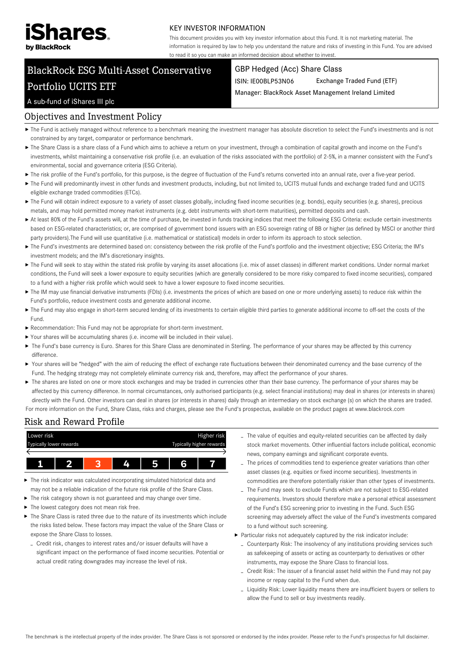

#### KEY INVESTOR INFORMATION

This document provides you with key investor information about this Fund. It is not marketing material. The information is required by law to help you understand the nature and risks of investing in this Fund. You are advised to read it so you can make an informed decision about whether to invest.

# BlackRock ESG Multi-Asset Conservative Portfolio UCITS ETF

#### GBP Hedged (Acc) Share Class

ISIN: IE00BLP53N06 Exchange Traded Fund (ETF)

Manager: BlackRock Asset Management Ireland Limited

## A sub-fund of iShares III plc

### Objectives and Investment Policy

- ▶ The Fund is actively managed without reference to a benchmark meaning the investment manager has absolute discretion to select the Fund's investments and is not constrained by any target, comparator or performance benchmark.
- The Share Class is a share class of a Fund which aims to achieve a return on your investment, through a combination of capital growth and income on the Fund's investments, whilst maintaining a conservative risk profile (i.e. an evaluation of the risks associated with the portfolio) of 2-5%, in a manner consistent with the Fund's environmental, social and governance criteria (ESG Criteria).
- ▶ The risk profile of the Fund's portfolio, for this purpose, is the degree of fluctuation of the Fund's returns converted into an annual rate, over a five-year period.
- ▶ The Fund will predominantly invest in other funds and investment products, including, but not limited to, UCITS mutual funds and exchange traded fund and UCITS eligible exchange traded commodities (ETCs).
- ▶ The Fund will obtain indirect exposure to a variety of asset classes globally, including fixed income securities (e.g. bonds), equity securities (e.g. shares), precious metals, and may hold permitted money market instruments (e.g. debt instruments with short-term maturities), permitted deposits and cash.
- ▶ At least 80% of the Fund's assets will, at the time of purchase, be invested in funds tracking indices that meet the following ESG Criteria: exclude certain investments based on ESG-related characteristics; or, are comprised of government bond issuers with an ESG sovereign rating of BB or higher (as defined by MSCI or another third party providers).The Fund will use quantitative (i.e. mathematical or statistical) models in order to inform its approach to stock selection.
- The Fund's investments are determined based on: consistency between the risk profile of the Fund's portfolio and the investment objective; ESG Criteria; the IM's investment models; and the IM's discretionary insights.
- ▶ The Fund will seek to stay within the stated risk profile by varying its asset allocations (i.e. mix of asset classes) in different market conditions. Under normal market conditions, the Fund will seek a lower exposure to equity securities (which are generally considered to be more risky compared to fixed income securities), compared to a fund with a higher risk profile which would seek to have a lower exposure to fixed income securities.
- ▶ The IM may use financial derivative instruments (FDIs) (i.e. investments the prices of which are based on one or more underlying assets) to reduce risk within the Fund's portfolio, reduce investment costs and generate additional income.
- ▶ The Fund may also engage in short-term secured lending of its investments to certain eligible third parties to generate additional income to off-set the costs of the Fund.
- Recommendation: This Fund may not be appropriate for short-term investment.
- Your shares will be accumulating shares (i.e. income will be included in their value).
- ▶ The Fund's base currency is Euro. Shares for this Share Class are denominated in Sterling. The performance of your shares may be affected by this currency difference.
- Your shares will be "hedged" with the aim of reducing the effect of exchange rate fluctuations between their denominated currency and the base currency of the Fund. The hedging strategy may not completely eliminate currency risk and, therefore, may affect the performance of your shares.
- ▶ The shares are listed on one or more stock exchanges and may be traded in currencies other than their base currency. The performance of your shares may be affected by this currency difference. In normal circumstances, only authorised participants (e.g. select financial institutions) may deal in shares (or interests in shares) directly with the Fund. Other investors can deal in shares (or interests in shares) daily through an intermediary on stock exchange (s) on which the shares are traded. For more information on the Fund, Share Class, risks and charges, please see the Fund's prospectus, available on the product pages at www.blackrock.com

### Risk and Reward Profile



- The risk indicator was calculated incorporating simulated historical data and may not be a reliable indication of the future risk profile of the Share Class.
- The risk category shown is not guaranteed and may change over time.
- The lowest category does not mean risk free.
- The Share Class is rated three due to the nature of its investments which include the risks listed below. These factors may impact the value of the Share Class or expose the Share Class to losses.
	- Credit risk, changes to interest rates and/or issuer defaults will have a significant impact on the performance of fixed income securities. Potential or actual credit rating downgrades may increase the level of risk.
- The value of equities and equity-related securities can be affected by daily stock market movements. Other influential factors include political, economic news, company earnings and significant corporate events.
- The prices of commodities tend to experience greater variations than other asset classes (e.g. equities or fixed income securities). Investments in commodities are therefore potentially riskier than other types of investments.
- The Fund may seek to exclude Funds which are not subject to ESG-related requirements. Investors should therefore make a personal ethical assessment of the Fund's ESG screening prior to investing in the Fund. Such ESG screening may adversely affect the value of the Fund's investments compared to a fund without such screening.
- Particular risks not adequately captured by the risk indicator include:
	- Counterparty Risk: The insolvency of any institutions providing services such as safekeeping of assets or acting as counterparty to derivatives or other instruments, may expose the Share Class to financial loss.
	- Credit Risk: The issuer of a financial asset held within the Fund may not pay income or repay capital to the Fund when due.
	- Liquidity Risk: Lower liquidity means there are insufficient buyers or sellers to allow the Fund to sell or buy investments readily.